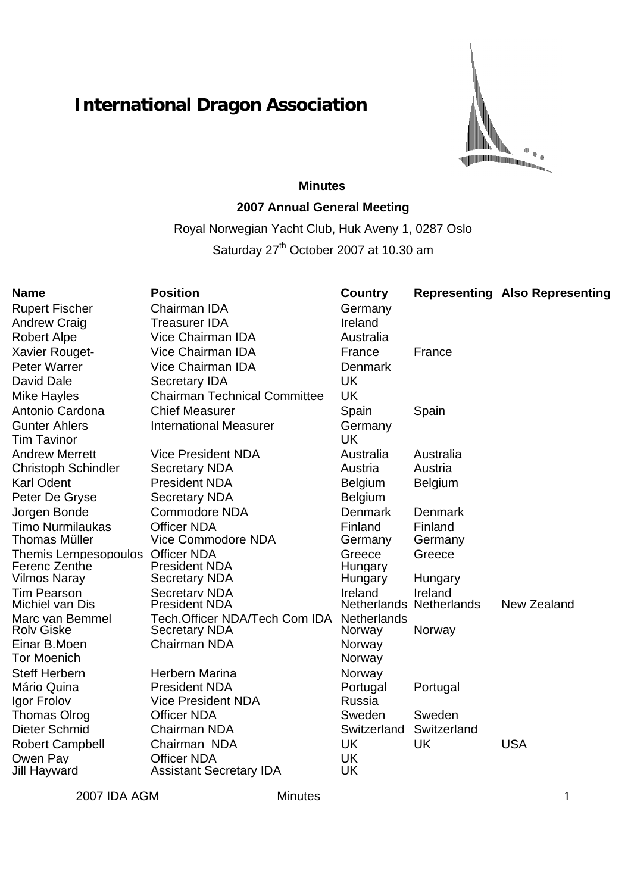# **International Dragon Association**

 $\mathbb I$  $\mathbf 0$ 

# **Minutes 2007 Annual General Meeting**

Royal Norwegian Yacht Club, Huk Aveny 1, 0287 Oslo Saturday 27<sup>th</sup> October 2007 at 10.30 am

| Name                                              | <b>Position</b>                                       | Country               |                                    | <b>Representing Also Representing</b> |
|---------------------------------------------------|-------------------------------------------------------|-----------------------|------------------------------------|---------------------------------------|
| <b>Rupert Fischer</b>                             | Chairman IDA                                          | Germany               |                                    |                                       |
| <b>Andrew Craig</b>                               | <b>Treasurer IDA</b>                                  | Ireland               |                                    |                                       |
| <b>Robert Alpe</b>                                | <b>Vice Chairman IDA</b>                              | Australia             |                                    |                                       |
| Xavier Rouget-                                    | Vice Chairman IDA                                     | France                | France                             |                                       |
| Peter Warrer                                      | Vice Chairman IDA                                     | <b>Denmark</b>        |                                    |                                       |
| David Dale                                        | <b>Secretary IDA</b>                                  | <b>UK</b>             |                                    |                                       |
| Mike Hayles                                       | <b>Chairman Technical Committee</b>                   | <b>UK</b>             |                                    |                                       |
| Antonio Cardona                                   | <b>Chief Measurer</b>                                 | Spain                 | Spain                              |                                       |
| <b>Gunter Ahlers</b><br>Tim Tavinor               | <b>International Measurer</b>                         | Germany<br><b>UK</b>  |                                    |                                       |
| <b>Andrew Merrett</b>                             | <b>Vice President NDA</b>                             | Australia             | Australia                          |                                       |
| <b>Christoph Schindler</b>                        | <b>Secretary NDA</b>                                  | Austria               | Austria                            |                                       |
| Karl Odent                                        | <b>President NDA</b>                                  | <b>Belgium</b>        | <b>Belgium</b>                     |                                       |
| Peter De Gryse                                    | <b>Secretary NDA</b>                                  | <b>Belgium</b>        |                                    |                                       |
| Jorgen Bonde                                      | <b>Commodore NDA</b>                                  | <b>Denmark</b>        | <b>Denmark</b>                     |                                       |
| Timo Nurmilaukas<br>Thomas Müller                 | <b>Officer NDA</b><br>Vice Commodore NDA              | Finland<br>Germany    | Finland<br>Germany                 |                                       |
| Themis Lempesopoulos Officer NDA<br>Ferenc Zenthe | <b>President NDA</b>                                  | Greece<br>Hungary     | Greece                             |                                       |
| Vilmos Naray                                      | <b>Secretary NDA</b>                                  | Hungary               | Hungary                            |                                       |
| <b>Tim Pearson</b><br>Michiel van Dis             | <b>Secretary NDA</b><br><b>President NDA</b>          | Ireland               | Ireland<br>Netherlands Netherlands | New Zealand                           |
| Marc van Bemmel<br><b>Rolv Giske</b>              | Tech.Officer NDA/Tech Com IDA<br><b>Secretary NDA</b> | Netherlands<br>Norway | Norway                             |                                       |
| Einar B.Moen<br>Tor Moenich                       | <b>Chairman NDA</b>                                   | Norway<br>Norway      |                                    |                                       |
| <b>Steff Herbern</b>                              | Herbern Marina                                        | Norway                |                                    |                                       |
| Mário Quina                                       | <b>President NDA</b>                                  | Portugal              | Portugal                           |                                       |
| Igor Frolov                                       | <b>Vice President NDA</b>                             | Russia                |                                    |                                       |
| <b>Thomas Olrog</b>                               | <b>Officer NDA</b>                                    | Sweden                | Sweden                             |                                       |
| Dieter Schmid                                     | Chairman NDA                                          | Switzerland           | Switzerland                        |                                       |
| <b>Robert Campbell</b>                            | Chairman NDA                                          | <b>UK</b>             | <b>UK</b>                          | <b>USA</b>                            |
| Owen Pay<br>Jill Hayward                          | <b>Officer NDA</b><br><b>Assistant Secretary IDA</b>  | <b>UK</b><br>UK       |                                    |                                       |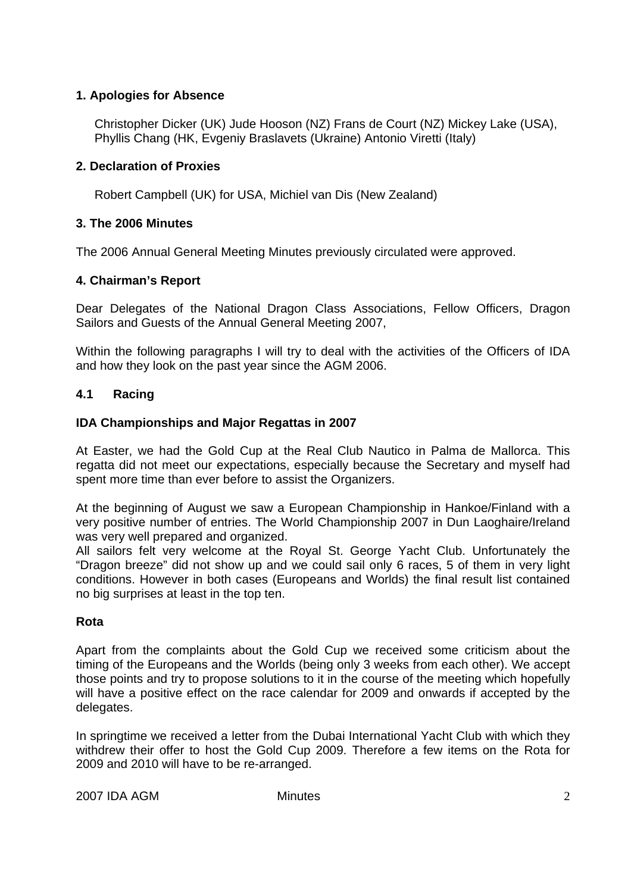## **1. Apologies for Absence**

Christopher Dicker (UK) Jude Hooson (NZ) Frans de Court (NZ) Mickey Lake (USA), Phyllis Chang (HK, Evgeniy Braslavets (Ukraine) Antonio Viretti (Italy)

## **2. Declaration of Proxies**

Robert Campbell (UK) for USA, Michiel van Dis (New Zealand)

## **3. The 2006 Minutes**

The 2006 Annual General Meeting Minutes previously circulated were approved.

## **4. Chairman's Report**

Dear Delegates of the National Dragon Class Associations, Fellow Officers, Dragon Sailors and Guests of the Annual General Meeting 2007,

Within the following paragraphs I will try to deal with the activities of the Officers of IDA and how they look on the past year since the AGM 2006.

## **4.1 Racing**

## **IDA Championships and Major Regattas in 2007**

At Easter, we had the Gold Cup at the Real Club Nautico in Palma de Mallorca. This regatta did not meet our expectations, especially because the Secretary and myself had spent more time than ever before to assist the Organizers.

At the beginning of August we saw a European Championship in Hankoe/Finland with a very positive number of entries. The World Championship 2007 in Dun Laoghaire/Ireland was very well prepared and organized.

All sailors felt very welcome at the Royal St. George Yacht Club. Unfortunately the "Dragon breeze" did not show up and we could sail only 6 races, 5 of them in very light conditions. However in both cases (Europeans and Worlds) the final result list contained no big surprises at least in the top ten.

# **Rota**

Apart from the complaints about the Gold Cup we received some criticism about the timing of the Europeans and the Worlds (being only 3 weeks from each other). We accept those points and try to propose solutions to it in the course of the meeting which hopefully will have a positive effect on the race calendar for 2009 and onwards if accepted by the delegates.

In springtime we received a letter from the Dubai International Yacht Club with which they withdrew their offer to host the Gold Cup 2009. Therefore a few items on the Rota for 2009 and 2010 will have to be re-arranged.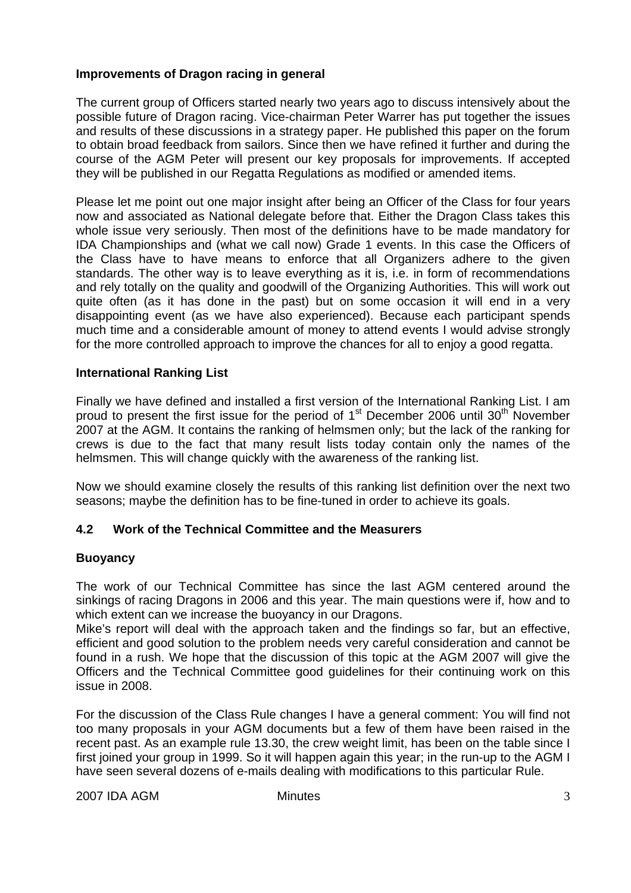## **Improvements of Dragon racing in general**

The current group of Officers started nearly two years ago to discuss intensively about the possible future of Dragon racing. Vice-chairman Peter Warrer has put together the issues and results of these discussions in a strategy paper. He published this paper on the forum to obtain broad feedback from sailors. Since then we have refined it further and during the course of the AGM Peter will present our key proposals for improvements. If accepted they will be published in our Regatta Regulations as modified or amended items.

Please let me point out one major insight after being an Officer of the Class for four years now and associated as National delegate before that. Either the Dragon Class takes this whole issue very seriously. Then most of the definitions have to be made mandatory for IDA Championships and (what we call now) Grade 1 events. In this case the Officers of the Class have to have means to enforce that all Organizers adhere to the given standards. The other way is to leave everything as it is, i.e. in form of recommendations and rely totally on the quality and goodwill of the Organizing Authorities. This will work out quite often (as it has done in the past) but on some occasion it will end in a very disappointing event (as we have also experienced). Because each participant spends much time and a considerable amount of money to attend events I would advise strongly for the more controlled approach to improve the chances for all to enjoy a good regatta.

#### **International Ranking List**

Finally we have defined and installed a first version of the International Ranking List. I am proud to present the first issue for the period of  $1<sup>st</sup>$  December 2006 until  $30<sup>th</sup>$  November 2007 at the AGM. It contains the ranking of helmsmen only; but the lack of the ranking for crews is due to the fact that many result lists today contain only the names of the helmsmen. This will change quickly with the awareness of the ranking list.

Now we should examine closely the results of this ranking list definition over the next two seasons; maybe the definition has to be fine-tuned in order to achieve its goals.

## **4.2 Work of the Technical Committee and the Measurers**

#### **Buoyancy**

The work of our Technical Committee has since the last AGM centered around the sinkings of racing Dragons in 2006 and this year. The main questions were if, how and to which extent can we increase the buoyancy in our Dragons.

Mike's report will deal with the approach taken and the findings so far, but an effective, efficient and good solution to the problem needs very careful consideration and cannot be found in a rush. We hope that the discussion of this topic at the AGM 2007 will give the Officers and the Technical Committee good guidelines for their continuing work on this issue in 2008.

For the discussion of the Class Rule changes I have a general comment: You will find not too many proposals in your AGM documents but a few of them have been raised in the recent past. As an example rule 13.30, the crew weight limit, has been on the table since I first joined your group in 1999. So it will happen again this year; in the run-up to the AGM I have seen several dozens of e-mails dealing with modifications to this particular Rule.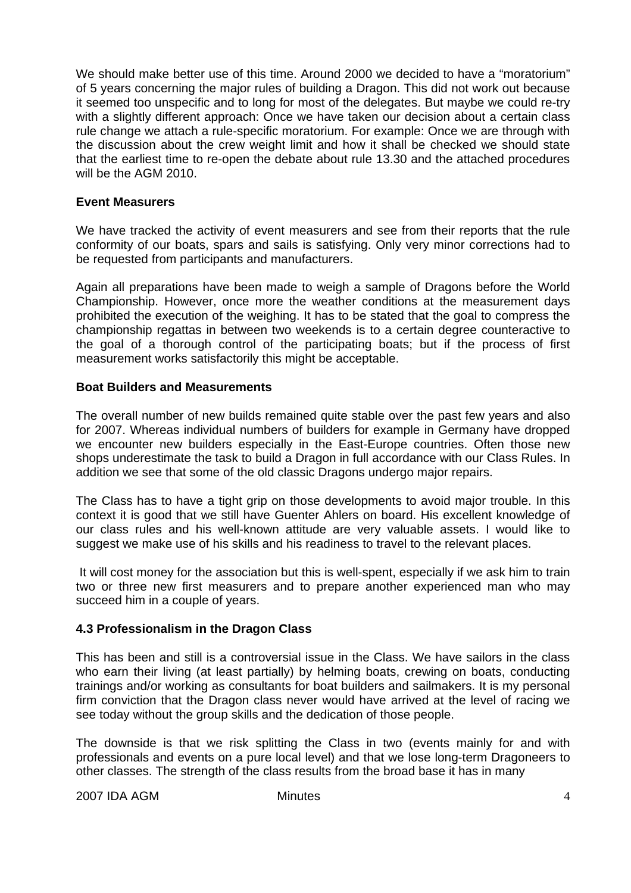We should make better use of this time. Around 2000 we decided to have a "moratorium" of 5 years concerning the major rules of building a Dragon. This did not work out because it seemed too unspecific and to long for most of the delegates. But maybe we could re-try with a slightly different approach: Once we have taken our decision about a certain class rule change we attach a rule-specific moratorium. For example: Once we are through with the discussion about the crew weight limit and how it shall be checked we should state that the earliest time to re-open the debate about rule 13.30 and the attached procedures will be the AGM 2010.

#### **Event Measurers**

We have tracked the activity of event measurers and see from their reports that the rule conformity of our boats, spars and sails is satisfying. Only very minor corrections had to be requested from participants and manufacturers.

Again all preparations have been made to weigh a sample of Dragons before the World Championship. However, once more the weather conditions at the measurement days prohibited the execution of the weighing. It has to be stated that the goal to compress the championship regattas in between two weekends is to a certain degree counteractive to the goal of a thorough control of the participating boats; but if the process of first measurement works satisfactorily this might be acceptable.

## **Boat Builders and Measurements**

The overall number of new builds remained quite stable over the past few years and also for 2007. Whereas individual numbers of builders for example in Germany have dropped we encounter new builders especially in the East-Europe countries. Often those new shops underestimate the task to build a Dragon in full accordance with our Class Rules. In addition we see that some of the old classic Dragons undergo major repairs.

The Class has to have a tight grip on those developments to avoid major trouble. In this context it is good that we still have Guenter Ahlers on board. His excellent knowledge of our class rules and his well-known attitude are very valuable assets. I would like to suggest we make use of his skills and his readiness to travel to the relevant places.

 It will cost money for the association but this is well-spent, especially if we ask him to train two or three new first measurers and to prepare another experienced man who may succeed him in a couple of years.

## **4.3 Professionalism in the Dragon Class**

This has been and still is a controversial issue in the Class. We have sailors in the class who earn their living (at least partially) by helming boats, crewing on boats, conducting trainings and/or working as consultants for boat builders and sailmakers. It is my personal firm conviction that the Dragon class never would have arrived at the level of racing we see today without the group skills and the dedication of those people.

The downside is that we risk splitting the Class in two (events mainly for and with professionals and events on a pure local level) and that we lose long-term Dragoneers to other classes. The strength of the class results from the broad base it has in many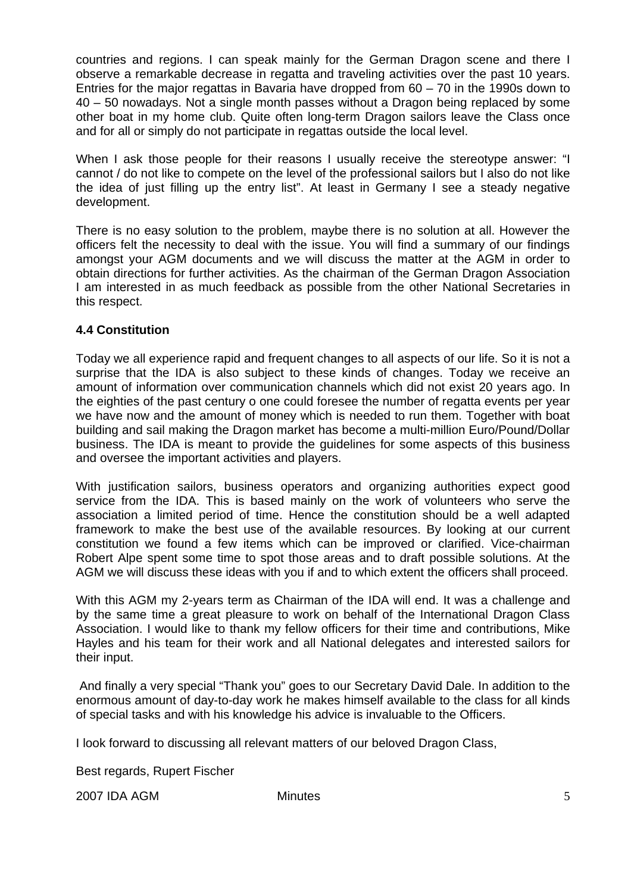countries and regions. I can speak mainly for the German Dragon scene and there I observe a remarkable decrease in regatta and traveling activities over the past 10 years. Entries for the major regattas in Bavaria have dropped from 60 – 70 in the 1990s down to 40 – 50 nowadays. Not a single month passes without a Dragon being replaced by some other boat in my home club. Quite often long-term Dragon sailors leave the Class once and for all or simply do not participate in regattas outside the local level.

When I ask those people for their reasons I usually receive the stereotype answer: "I cannot / do not like to compete on the level of the professional sailors but I also do not like the idea of just filling up the entry list". At least in Germany I see a steady negative development.

There is no easy solution to the problem, maybe there is no solution at all. However the officers felt the necessity to deal with the issue. You will find a summary of our findings amongst your AGM documents and we will discuss the matter at the AGM in order to obtain directions for further activities. As the chairman of the German Dragon Association I am interested in as much feedback as possible from the other National Secretaries in this respect.

## **4.4 Constitution**

Today we all experience rapid and frequent changes to all aspects of our life. So it is not a surprise that the IDA is also subject to these kinds of changes. Today we receive an amount of information over communication channels which did not exist 20 years ago. In the eighties of the past century o one could foresee the number of regatta events per year we have now and the amount of money which is needed to run them. Together with boat building and sail making the Dragon market has become a multi-million Euro/Pound/Dollar business. The IDA is meant to provide the guidelines for some aspects of this business and oversee the important activities and players.

With justification sailors, business operators and organizing authorities expect good service from the IDA. This is based mainly on the work of volunteers who serve the association a limited period of time. Hence the constitution should be a well adapted framework to make the best use of the available resources. By looking at our current constitution we found a few items which can be improved or clarified. Vice-chairman Robert Alpe spent some time to spot those areas and to draft possible solutions. At the AGM we will discuss these ideas with you if and to which extent the officers shall proceed.

With this AGM my 2-years term as Chairman of the IDA will end. It was a challenge and by the same time a great pleasure to work on behalf of the International Dragon Class Association. I would like to thank my fellow officers for their time and contributions, Mike Hayles and his team for their work and all National delegates and interested sailors for their input.

 And finally a very special "Thank you" goes to our Secretary David Dale. In addition to the enormous amount of day-to-day work he makes himself available to the class for all kinds of special tasks and with his knowledge his advice is invaluable to the Officers.

I look forward to discussing all relevant matters of our beloved Dragon Class,

Best regards, Rupert Fischer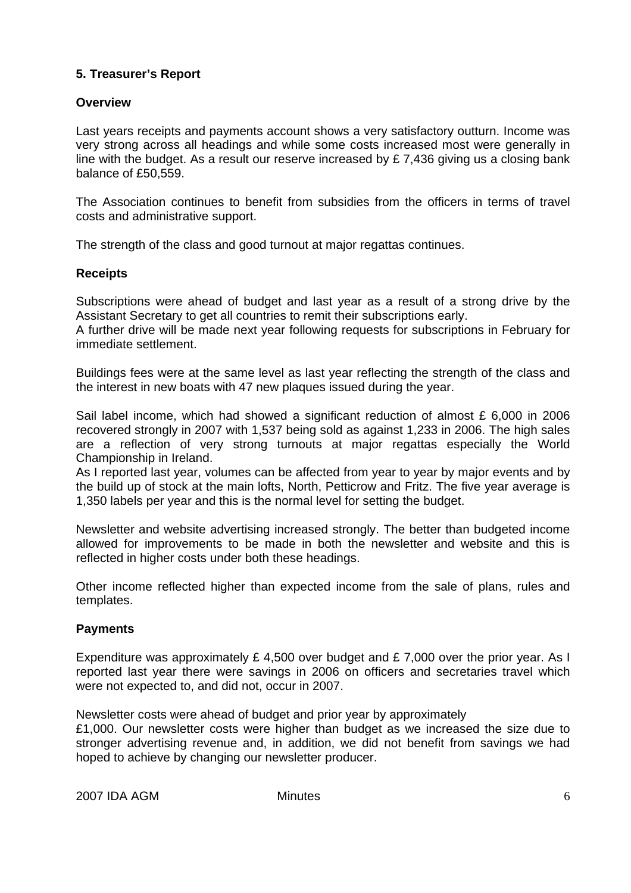## **5. Treasurer's Report**

## **Overview**

Last years receipts and payments account shows a very satisfactory outturn. Income was very strong across all headings and while some costs increased most were generally in line with the budget. As a result our reserve increased by £ 7,436 giving us a closing bank balance of £50,559.

The Association continues to benefit from subsidies from the officers in terms of travel costs and administrative support.

The strength of the class and good turnout at major regattas continues.

#### **Receipts**

Subscriptions were ahead of budget and last year as a result of a strong drive by the Assistant Secretary to get all countries to remit their subscriptions early.

A further drive will be made next year following requests for subscriptions in February for immediate settlement.

Buildings fees were at the same level as last year reflecting the strength of the class and the interest in new boats with 47 new plaques issued during the year.

Sail label income, which had showed a significant reduction of almost  $£ 6,000$  in 2006 recovered strongly in 2007 with 1,537 being sold as against 1,233 in 2006. The high sales are a reflection of very strong turnouts at major regattas especially the World Championship in Ireland.

As I reported last year, volumes can be affected from year to year by major events and by the build up of stock at the main lofts, North, Petticrow and Fritz. The five year average is 1,350 labels per year and this is the normal level for setting the budget.

Newsletter and website advertising increased strongly. The better than budgeted income allowed for improvements to be made in both the newsletter and website and this is reflected in higher costs under both these headings.

Other income reflected higher than expected income from the sale of plans, rules and templates.

## **Payments**

Expenditure was approximately £ 4,500 over budget and £ 7,000 over the prior year. As I reported last year there were savings in 2006 on officers and secretaries travel which were not expected to, and did not, occur in 2007.

Newsletter costs were ahead of budget and prior year by approximately

£1,000. Our newsletter costs were higher than budget as we increased the size due to stronger advertising revenue and, in addition, we did not benefit from savings we had hoped to achieve by changing our newsletter producer.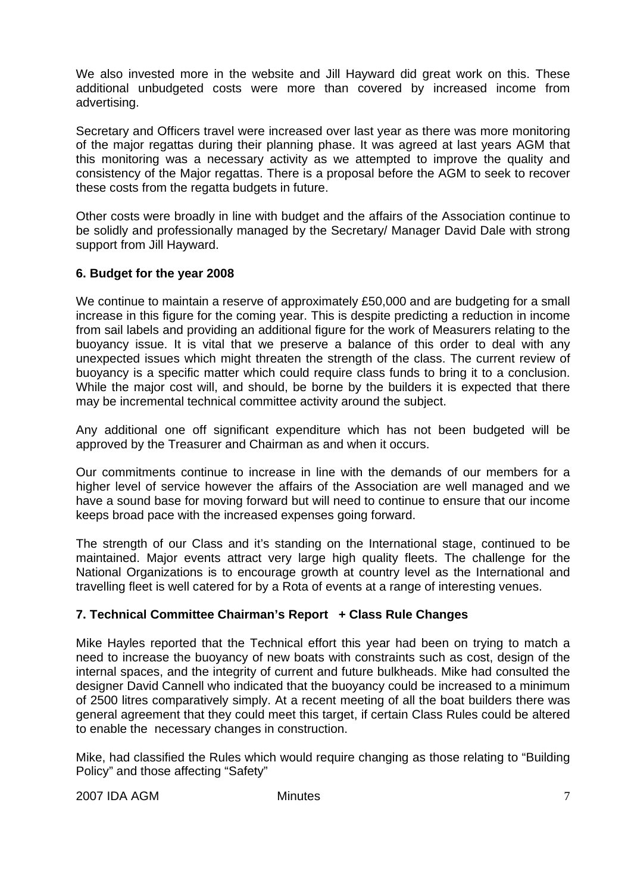We also invested more in the website and Jill Hayward did great work on this. These additional unbudgeted costs were more than covered by increased income from advertising.

Secretary and Officers travel were increased over last year as there was more monitoring of the major regattas during their planning phase. It was agreed at last years AGM that this monitoring was a necessary activity as we attempted to improve the quality and consistency of the Major regattas. There is a proposal before the AGM to seek to recover these costs from the regatta budgets in future.

Other costs were broadly in line with budget and the affairs of the Association continue to be solidly and professionally managed by the Secretary/ Manager David Dale with strong support from Jill Hayward.

## **6. Budget for the year 2008**

We continue to maintain a reserve of approximately £50,000 and are budgeting for a small increase in this figure for the coming year. This is despite predicting a reduction in income from sail labels and providing an additional figure for the work of Measurers relating to the buoyancy issue. It is vital that we preserve a balance of this order to deal with any unexpected issues which might threaten the strength of the class. The current review of buoyancy is a specific matter which could require class funds to bring it to a conclusion. While the major cost will, and should, be borne by the builders it is expected that there may be incremental technical committee activity around the subject.

Any additional one off significant expenditure which has not been budgeted will be approved by the Treasurer and Chairman as and when it occurs.

Our commitments continue to increase in line with the demands of our members for a higher level of service however the affairs of the Association are well managed and we have a sound base for moving forward but will need to continue to ensure that our income keeps broad pace with the increased expenses going forward.

The strength of our Class and it's standing on the International stage, continued to be maintained. Major events attract very large high quality fleets. The challenge for the National Organizations is to encourage growth at country level as the International and travelling fleet is well catered for by a Rota of events at a range of interesting venues.

# **7. Technical Committee Chairman's Report + Class Rule Changes**

Mike Hayles reported that the Technical effort this year had been on trying to match a need to increase the buoyancy of new boats with constraints such as cost, design of the internal spaces, and the integrity of current and future bulkheads. Mike had consulted the designer David Cannell who indicated that the buoyancy could be increased to a minimum of 2500 litres comparatively simply. At a recent meeting of all the boat builders there was general agreement that they could meet this target, if certain Class Rules could be altered to enable the necessary changes in construction.

Mike, had classified the Rules which would require changing as those relating to "Building Policy" and those affecting "Safety"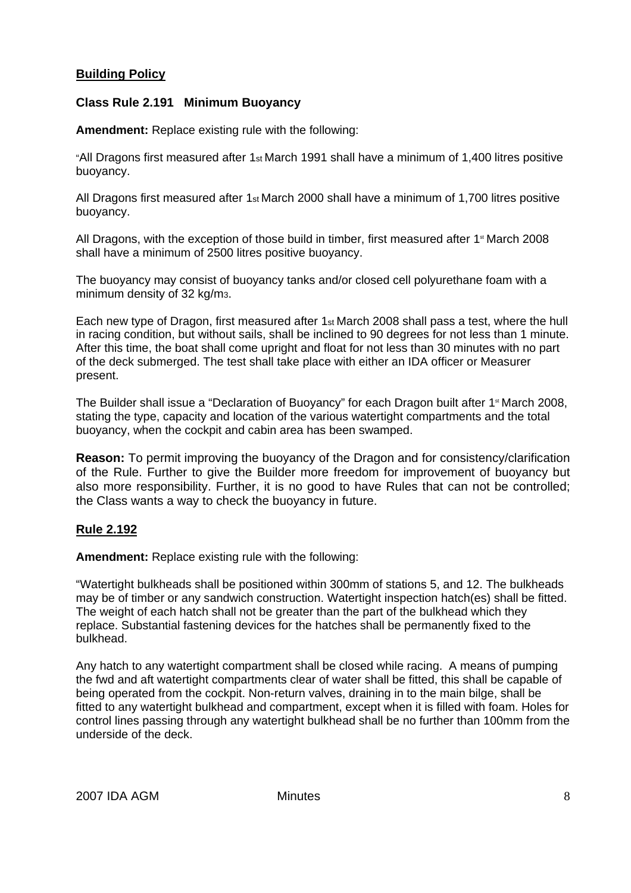## **Building Policy**

#### **Class Rule 2.191 Minimum Buoyancy**

**Amendment:** Replace existing rule with the following:

"All Dragons first measured after 1st March 1991 shall have a minimum of 1,400 litres positive buoyancy.

All Dragons first measured after 1st March 2000 shall have a minimum of 1,700 litres positive buoyancy.

All Dragons, with the exception of those build in timber, first measured after  $1<sup>st</sup>$  March 2008 shall have a minimum of 2500 litres positive buoyancy.

The buoyancy may consist of buoyancy tanks and/or closed cell polyurethane foam with a minimum density of 32 kg/m3.

Each new type of Dragon, first measured after 1st March 2008 shall pass a test, where the hull in racing condition, but without sails, shall be inclined to 90 degrees for not less than 1 minute. After this time, the boat shall come upright and float for not less than 30 minutes with no part of the deck submerged. The test shall take place with either an IDA officer or Measurer present.

The Builder shall issue a "Declaration of Buoyancy" for each Dragon built after 1<sup>st</sup> March 2008, stating the type, capacity and location of the various watertight compartments and the total buoyancy, when the cockpit and cabin area has been swamped.

**Reason:** To permit improving the buoyancy of the Dragon and for consistency/clarification of the Rule. Further to give the Builder more freedom for improvement of buoyancy but also more responsibility. Further, it is no good to have Rules that can not be controlled; the Class wants a way to check the buoyancy in future.

## **Rule 2.192**

**Amendment:** Replace existing rule with the following:

"Watertight bulkheads shall be positioned within 300mm of stations 5, and 12. The bulkheads may be of timber or any sandwich construction. Watertight inspection hatch(es) shall be fitted. The weight of each hatch shall not be greater than the part of the bulkhead which they replace. Substantial fastening devices for the hatches shall be permanently fixed to the bulkhead.

Any hatch to any watertight compartment shall be closed while racing. A means of pumping the fwd and aft watertight compartments clear of water shall be fitted, this shall be capable of being operated from the cockpit. Non-return valves, draining in to the main bilge, shall be fitted to any watertight bulkhead and compartment, except when it is filled with foam. Holes for control lines passing through any watertight bulkhead shall be no further than 100mm from the underside of the deck.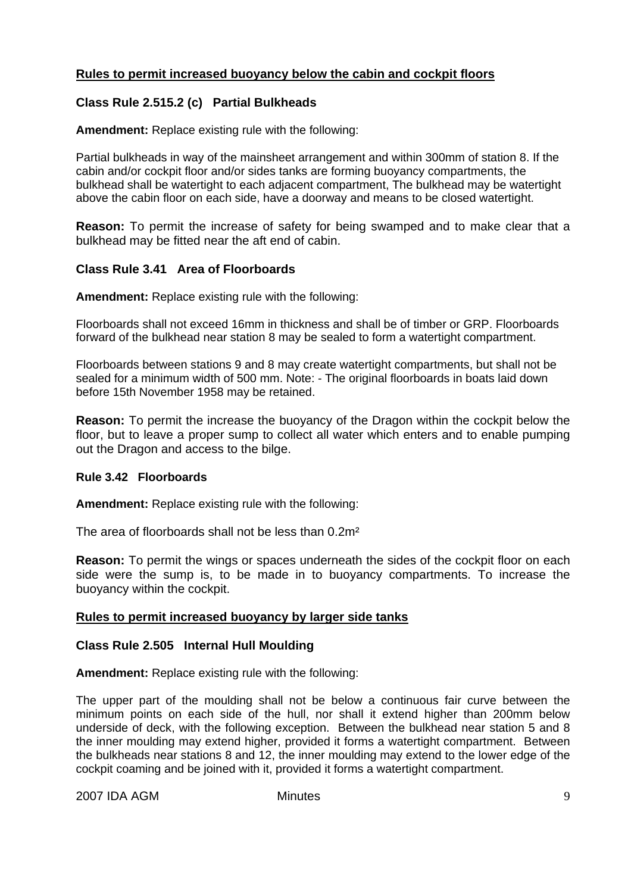## **Rules to permit increased buoyancy below the cabin and cockpit floors**

## **Class Rule 2.515.2 (c) Partial Bulkheads**

**Amendment:** Replace existing rule with the following:

Partial bulkheads in way of the mainsheet arrangement and within 300mm of station 8. If the cabin and/or cockpit floor and/or sides tanks are forming buoyancy compartments, the bulkhead shall be watertight to each adjacent compartment, The bulkhead may be watertight above the cabin floor on each side, have a doorway and means to be closed watertight.

**Reason:** To permit the increase of safety for being swamped and to make clear that a bulkhead may be fitted near the aft end of cabin.

## **Class Rule 3.41 Area of Floorboards**

**Amendment:** Replace existing rule with the following:

Floorboards shall not exceed 16mm in thickness and shall be of timber or GRP. Floorboards forward of the bulkhead near station 8 may be sealed to form a watertight compartment.

Floorboards between stations 9 and 8 may create watertight compartments, but shall not be sealed for a minimum width of 500 mm. Note: - The original floorboards in boats laid down before 15th November 1958 may be retained.

**Reason:** To permit the increase the buoyancy of the Dragon within the cockpit below the floor, but to leave a proper sump to collect all water which enters and to enable pumping out the Dragon and access to the bilge.

#### **Rule 3.42 Floorboards**

**Amendment:** Replace existing rule with the following:

The area of floorboards shall not be less than 0.2m²

**Reason:** To permit the wings or spaces underneath the sides of the cockpit floor on each side were the sump is, to be made in to buoyancy compartments. To increase the buoyancy within the cockpit.

## **Rules to permit increased buoyancy by larger side tanks**

#### **Class Rule 2.505 Internal Hull Moulding**

**Amendment:** Replace existing rule with the following:

The upper part of the moulding shall not be below a continuous fair curve between the minimum points on each side of the hull, nor shall it extend higher than 200mm below underside of deck, with the following exception. Between the bulkhead near station 5 and 8 the inner moulding may extend higher, provided it forms a watertight compartment. Between the bulkheads near stations 8 and 12, the inner moulding may extend to the lower edge of the cockpit coaming and be joined with it, provided it forms a watertight compartment.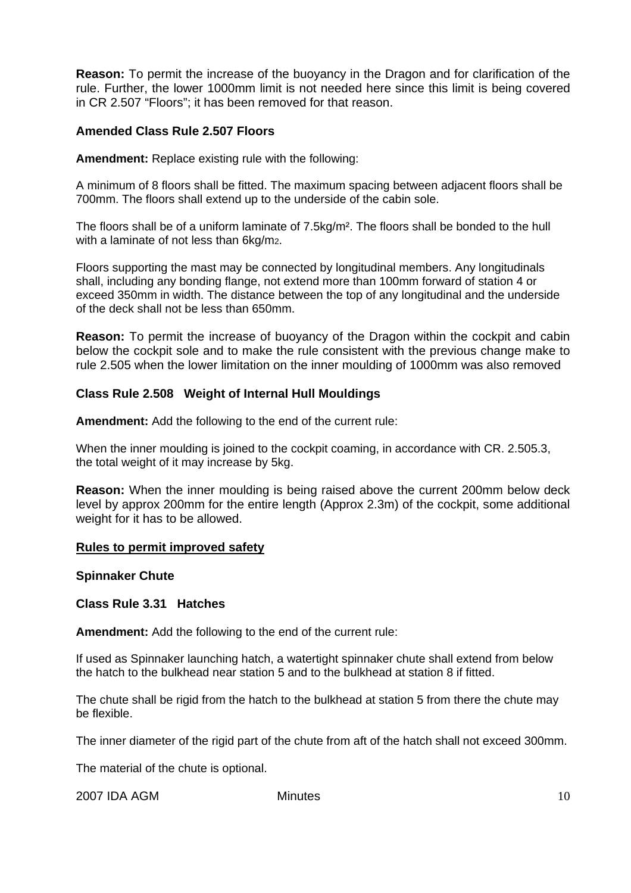**Reason:** To permit the increase of the buoyancy in the Dragon and for clarification of the rule. Further, the lower 1000mm limit is not needed here since this limit is being covered in CR 2.507 "Floors"; it has been removed for that reason.

#### **Amended Class Rule 2.507 Floors**

**Amendment:** Replace existing rule with the following:

A minimum of 8 floors shall be fitted. The maximum spacing between adjacent floors shall be 700mm. The floors shall extend up to the underside of the cabin sole.

The floors shall be of a uniform laminate of 7.5kg/m². The floors shall be bonded to the hull with a laminate of not less than 6kg/m2.

Floors supporting the mast may be connected by longitudinal members. Any longitudinals shall, including any bonding flange, not extend more than 100mm forward of station 4 or exceed 350mm in width. The distance between the top of any longitudinal and the underside of the deck shall not be less than 650mm.

**Reason:** To permit the increase of buoyancy of the Dragon within the cockpit and cabin below the cockpit sole and to make the rule consistent with the previous change make to rule 2.505 when the lower limitation on the inner moulding of 1000mm was also removed

#### **Class Rule 2.508 Weight of Internal Hull Mouldings**

**Amendment:** Add the following to the end of the current rule:

When the inner moulding is joined to the cockpit coaming, in accordance with CR. 2.505.3, the total weight of it may increase by 5kg.

**Reason:** When the inner moulding is being raised above the current 200mm below deck level by approx 200mm for the entire length (Approx 2.3m) of the cockpit, some additional weight for it has to be allowed.

#### **Rules to permit improved safety**

**Spinnaker Chute** 

**Class Rule 3.31 Hatches** 

**Amendment:** Add the following to the end of the current rule:

If used as Spinnaker launching hatch, a watertight spinnaker chute shall extend from below the hatch to the bulkhead near station 5 and to the bulkhead at station 8 if fitted.

The chute shall be rigid from the hatch to the bulkhead at station 5 from there the chute may be flexible.

The inner diameter of the rigid part of the chute from aft of the hatch shall not exceed 300mm.

The material of the chute is optional.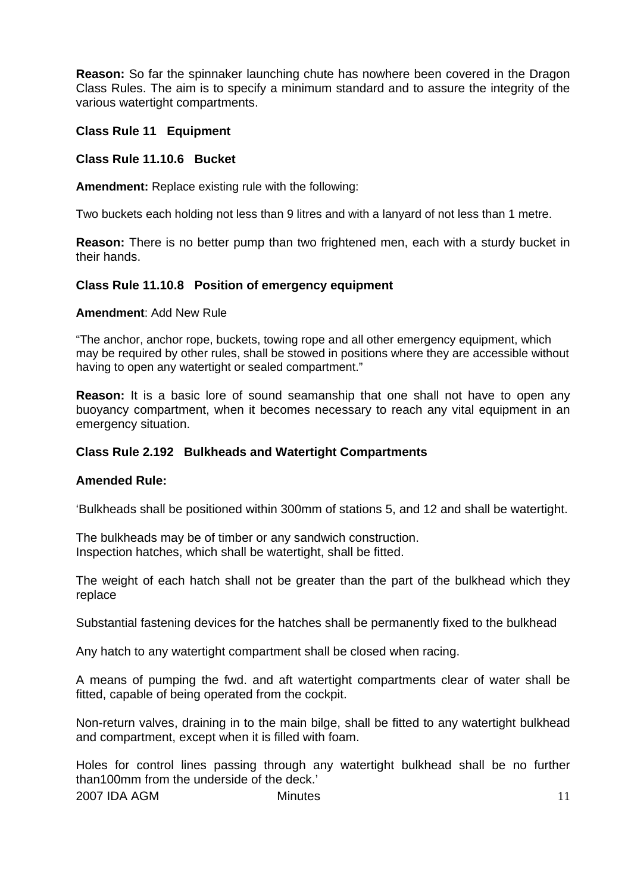**Reason:** So far the spinnaker launching chute has nowhere been covered in the Dragon Class Rules. The aim is to specify a minimum standard and to assure the integrity of the various watertight compartments.

#### **Class Rule 11 Equipment**

#### **Class Rule 11.10.6 Bucket**

**Amendment:** Replace existing rule with the following:

Two buckets each holding not less than 9 litres and with a lanyard of not less than 1 metre.

**Reason:** There is no better pump than two frightened men, each with a sturdy bucket in their hands.

#### **Class Rule 11.10.8 Position of emergency equipment**

#### **Amendment**: Add New Rule

"The anchor, anchor rope, buckets, towing rope and all other emergency equipment, which may be required by other rules, shall be stowed in positions where they are accessible without having to open any watertight or sealed compartment."

**Reason:** It is a basic lore of sound seamanship that one shall not have to open any buoyancy compartment, when it becomes necessary to reach any vital equipment in an emergency situation.

#### **Class Rule 2.192 Bulkheads and Watertight Compartments**

#### **Amended Rule:**

'Bulkheads shall be positioned within 300mm of stations 5, and 12 and shall be watertight.

The bulkheads may be of timber or any sandwich construction. Inspection hatches, which shall be watertight, shall be fitted.

The weight of each hatch shall not be greater than the part of the bulkhead which they replace

Substantial fastening devices for the hatches shall be permanently fixed to the bulkhead

Any hatch to any watertight compartment shall be closed when racing.

A means of pumping the fwd. and aft watertight compartments clear of water shall be fitted, capable of being operated from the cockpit.

Non-return valves, draining in to the main bilge, shall be fitted to any watertight bulkhead and compartment, except when it is filled with foam.

2007 IDA AGM Minutes Holes for control lines passing through any watertight bulkhead shall be no further than100mm from the underside of the deck.'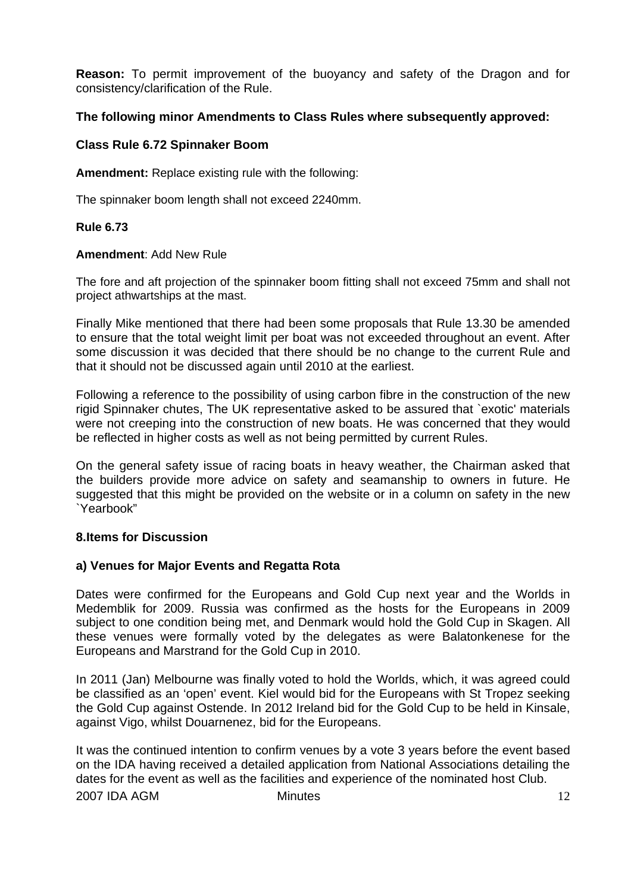**Reason:** To permit improvement of the buoyancy and safety of the Dragon and for consistency/clarification of the Rule.

## **The following minor Amendments to Class Rules where subsequently approved:**

## **Class Rule 6.72 Spinnaker Boom**

**Amendment:** Replace existing rule with the following:

The spinnaker boom length shall not exceed 2240mm.

#### **Rule 6.73**

#### **Amendment**: Add New Rule

The fore and aft projection of the spinnaker boom fitting shall not exceed 75mm and shall not project athwartships at the mast.

Finally Mike mentioned that there had been some proposals that Rule 13.30 be amended to ensure that the total weight limit per boat was not exceeded throughout an event. After some discussion it was decided that there should be no change to the current Rule and that it should not be discussed again until 2010 at the earliest.

Following a reference to the possibility of using carbon fibre in the construction of the new rigid Spinnaker chutes, The UK representative asked to be assured that `exotic' materials were not creeping into the construction of new boats. He was concerned that they would be reflected in higher costs as well as not being permitted by current Rules.

On the general safety issue of racing boats in heavy weather, the Chairman asked that the builders provide more advice on safety and seamanship to owners in future. He suggested that this might be provided on the website or in a column on safety in the new `Yearbook"

## **8.Items for Discussion**

## **a) Venues for Major Events and Regatta Rota**

Dates were confirmed for the Europeans and Gold Cup next year and the Worlds in Medemblik for 2009. Russia was confirmed as the hosts for the Europeans in 2009 subject to one condition being met, and Denmark would hold the Gold Cup in Skagen. All these venues were formally voted by the delegates as were Balatonkenese for the Europeans and Marstrand for the Gold Cup in 2010.

In 2011 (Jan) Melbourne was finally voted to hold the Worlds, which, it was agreed could be classified as an 'open' event. Kiel would bid for the Europeans with St Tropez seeking the Gold Cup against Ostende. In 2012 Ireland bid for the Gold Cup to be held in Kinsale, against Vigo, whilst Douarnenez, bid for the Europeans.

2007 IDA AGM Minutes 12 It was the continued intention to confirm venues by a vote 3 years before the event based on the IDA having received a detailed application from National Associations detailing the dates for the event as well as the facilities and experience of the nominated host Club.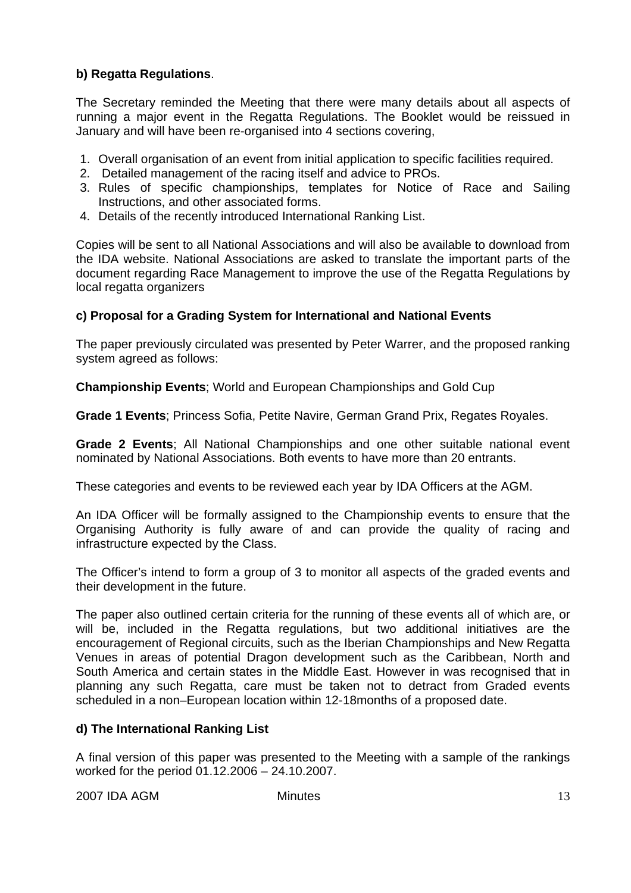# **b) Regatta Regulations**.

The Secretary reminded the Meeting that there were many details about all aspects of running a major event in the Regatta Regulations. The Booklet would be reissued in January and will have been re-organised into 4 sections covering,

- 1. Overall organisation of an event from initial application to specific facilities required.
- 2. Detailed management of the racing itself and advice to PROs.
- 3. Rules of specific championships, templates for Notice of Race and Sailing Instructions, and other associated forms.
- 4. Details of the recently introduced International Ranking List.

Copies will be sent to all National Associations and will also be available to download from the IDA website. National Associations are asked to translate the important parts of the document regarding Race Management to improve the use of the Regatta Regulations by local regatta organizers

## **c) Proposal for a Grading System for International and National Events**

The paper previously circulated was presented by Peter Warrer, and the proposed ranking system agreed as follows:

**Championship Events**; World and European Championships and Gold Cup

**Grade 1 Events**; Princess Sofia, Petite Navire, German Grand Prix, Regates Royales.

**Grade 2 Events**; All National Championships and one other suitable national event nominated by National Associations. Both events to have more than 20 entrants.

These categories and events to be reviewed each year by IDA Officers at the AGM.

An IDA Officer will be formally assigned to the Championship events to ensure that the Organising Authority is fully aware of and can provide the quality of racing and infrastructure expected by the Class.

The Officer's intend to form a group of 3 to monitor all aspects of the graded events and their development in the future.

The paper also outlined certain criteria for the running of these events all of which are, or will be, included in the Regatta regulations, but two additional initiatives are the encouragement of Regional circuits, such as the Iberian Championships and New Regatta Venues in areas of potential Dragon development such as the Caribbean, North and South America and certain states in the Middle East. However in was recognised that in planning any such Regatta, care must be taken not to detract from Graded events scheduled in a non–European location within 12-18months of a proposed date.

## **d) The International Ranking List**

A final version of this paper was presented to the Meeting with a sample of the rankings worked for the period 01.12.2006 – 24.10.2007.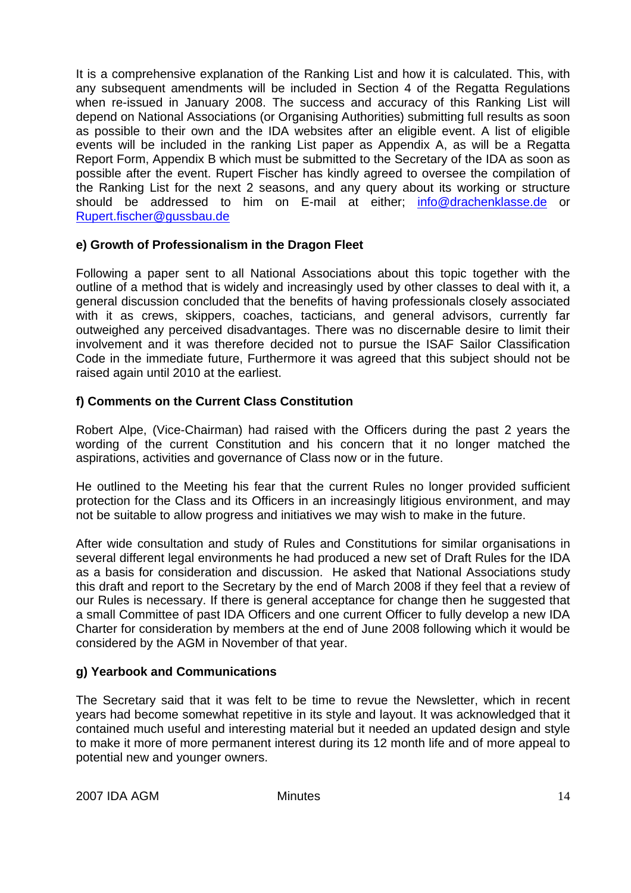It is a comprehensive explanation of the Ranking List and how it is calculated. This, with any subsequent amendments will be included in Section 4 of the Regatta Regulations when re-issued in January 2008. The success and accuracy of this Ranking List will depend on National Associations (or Organising Authorities) submitting full results as soon as possible to their own and the IDA websites after an eligible event. A list of eligible events will be included in the ranking List paper as Appendix A, as will be a Regatta Report Form, Appendix B which must be submitted to the Secretary of the IDA as soon as possible after the event. Rupert Fischer has kindly agreed to oversee the compilation of the Ranking List for the next 2 seasons, and any query about its working or structure should be addressed to him on E-mail at either; info@drachenklasse.de or Rupert.fischer@gussbau.de

## **e) Growth of Professionalism in the Dragon Fleet**

Following a paper sent to all National Associations about this topic together with the outline of a method that is widely and increasingly used by other classes to deal with it, a general discussion concluded that the benefits of having professionals closely associated with it as crews, skippers, coaches, tacticians, and general advisors, currently far outweighed any perceived disadvantages. There was no discernable desire to limit their involvement and it was therefore decided not to pursue the ISAF Sailor Classification Code in the immediate future, Furthermore it was agreed that this subject should not be raised again until 2010 at the earliest.

## **f) Comments on the Current Class Constitution**

Robert Alpe, (Vice-Chairman) had raised with the Officers during the past 2 years the wording of the current Constitution and his concern that it no longer matched the aspirations, activities and governance of Class now or in the future.

He outlined to the Meeting his fear that the current Rules no longer provided sufficient protection for the Class and its Officers in an increasingly litigious environment, and may not be suitable to allow progress and initiatives we may wish to make in the future.

After wide consultation and study of Rules and Constitutions for similar organisations in several different legal environments he had produced a new set of Draft Rules for the IDA as a basis for consideration and discussion. He asked that National Associations study this draft and report to the Secretary by the end of March 2008 if they feel that a review of our Rules is necessary. If there is general acceptance for change then he suggested that a small Committee of past IDA Officers and one current Officer to fully develop a new IDA Charter for consideration by members at the end of June 2008 following which it would be considered by the AGM in November of that year.

## **g) Yearbook and Communications**

The Secretary said that it was felt to be time to revue the Newsletter, which in recent years had become somewhat repetitive in its style and layout. It was acknowledged that it contained much useful and interesting material but it needed an updated design and style to make it more of more permanent interest during its 12 month life and of more appeal to potential new and younger owners.